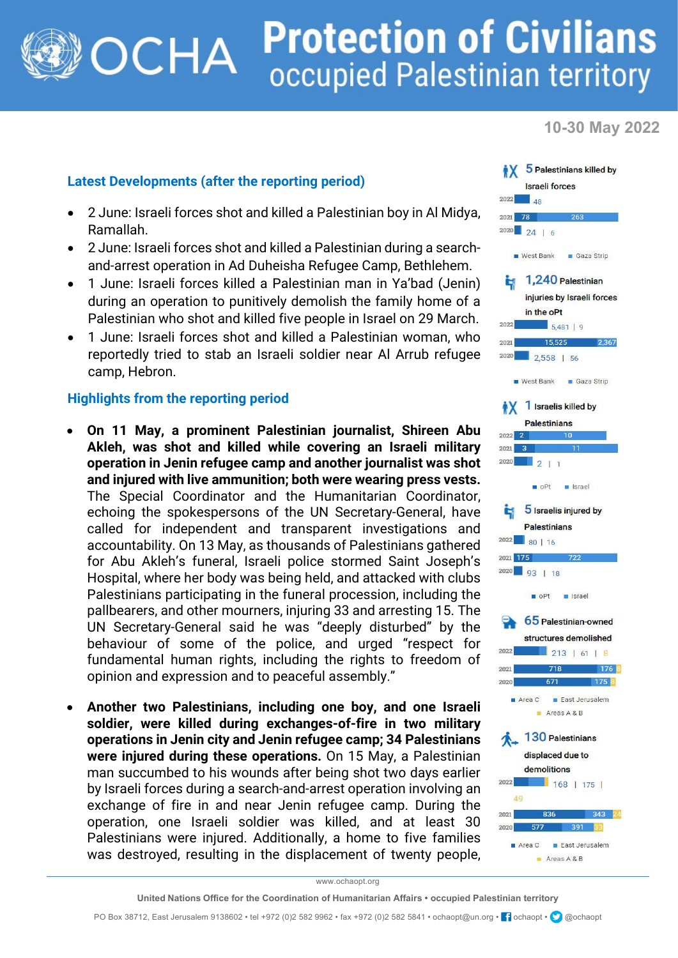## **Protection of Civilians OCHA** occupied Palestinian territory

**10-30 May 2022**

## **Latest Developments (after the reporting period)**

- 2 June: Israeli forces shot and killed a Palestinian boy in Al Midya, Ramallah.
- 2 June: Israeli forces shot and killed a Palestinian during a searchand-arrest operation in Ad Duheisha Refugee Camp, Bethlehem.
- 1 June: Israeli forces killed a Palestinian man in Ya'bad (Jenin) during an operation to punitively demolish the family home of a Palestinian who shot and killed five people in Israel on 29 March.
- 1 June: Israeli forces shot and killed a Palestinian woman, who reportedly tried to stab an Israeli soldier near Al Arrub refugee camp, Hebron.

## **Highlights from the reporting period**

- **On 11 May, a prominent Palestinian journalist, Shireen Abu Akleh, was shot and killed while covering an Israeli military operation in Jenin refugee camp and another journalist was shot and injured with live ammunition; both were wearing press vests.** The Special Coordinator and the Humanitarian Coordinator, echoing the spokespersons of the UN Secretary-General, have called for independent and transparent investigations and accountability. On 13 May, as thousands of Palestinians gathered for Abu Akleh's funeral, Israeli police stormed Saint Joseph's Hospital, where her body was being held, and attacked with clubs Palestinians participating in the funeral procession, including the pallbearers, and other mourners, injuring 33 and arresting 15. The UN Secretary-General said he was "deeply disturbed" by the behaviour of some of the police, and urged "respect for fundamental human rights, including the rights to freedom of opinion and expression and to peaceful assembly."
- **Another two Palestinians, including one boy, and one Israeli soldier, were killed during exchanges-of-fire in two military operations in Jenin city and Jenin refugee camp; 34 Palestinians were injured during these operations.** On 15 May, a Palestinian man succumbed to his wounds after being shot two days earlier by Israeli forces during a search-and-arrest operation involving an exchange of fire in and near Jenin refugee camp. During the operation, one Israeli soldier was killed, and at least 30 Palestinians were injured. Additionally, a home to five families was destroyed, resulting in the displacement of twenty people,



www.ochaopt.org

PO Box 38712, East Jerusalem 9138602 • tel +972 (0)2 582 9962 • fax +972 (0)2 582 5841 • ochaopt@un.org • <sup>1</sup> ochaopt • @ @ochaopt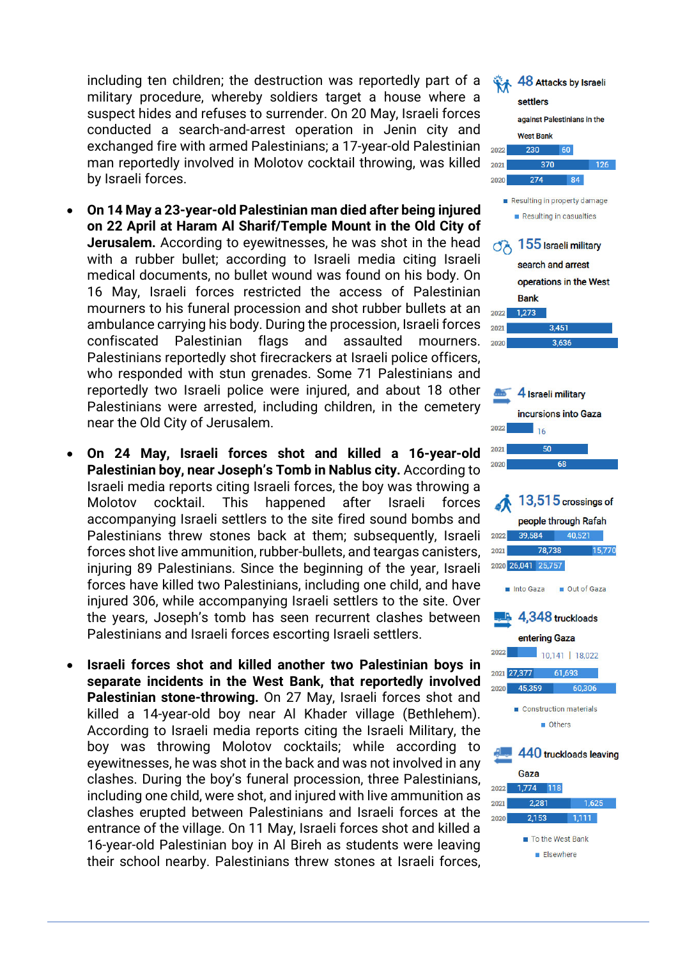including ten children; the destruction was reportedly part of a military procedure, whereby soldiers target a house where a suspect hides and refuses to surrender. On 20 May, Israeli forces conducted a search-and-arrest operation in Jenin city and exchanged fire with armed Palestinians; a 17-year-old Palestinian man reportedly involved in Molotov cocktail throwing, was killed by Israeli forces.

- **On 14 May a 23-year-old Palestinian man died after being injured on 22 April at Haram Al Sharif/Temple Mount in the Old City of Jerusalem.** According to eyewitnesses, he was shot in the head with a rubber bullet; according to Israeli media citing Israeli medical documents, no bullet wound was found on his body. On 16 May, Israeli forces restricted the access of Palestinian mourners to his funeral procession and shot rubber bullets at an ambulance carrying his body. During the procession, Israeli forces confiscated Palestinian flags and assaulted mourners. Palestinians reportedly shot firecrackers at Israeli police officers, who responded with stun grenades. Some 71 Palestinians and reportedly two Israeli police were injured, and about 18 other Palestinians were arrested, including children, in the cemetery near the Old City of Jerusalem.
- **On 24 May, Israeli forces shot and killed a 16-year-old Palestinian boy, near Joseph's Tomb in Nablus city.** According to Israeli media reports citing Israeli forces, the boy was throwing a Molotov cocktail. This happened after Israeli forces accompanying Israeli settlers to the site fired sound bombs and Palestinians threw stones back at them; subsequently, Israeli forces shot live ammunition, rubber-bullets, and teargas canisters, injuring 89 Palestinians. Since the beginning of the year, Israeli forces have killed two Palestinians, including one child, and have injured 306, while accompanying Israeli settlers to the site. Over the years, Joseph's tomb has seen recurrent clashes between Palestinians and Israeli forces escorting Israeli settlers.
- **Israeli forces shot and killed another two Palestinian boys in separate incidents in the West Bank, that reportedly involved Palestinian stone-throwing.** On 27 May, Israeli forces shot and killed a 14-year-old boy near Al Khader village (Bethlehem). According to Israeli media reports citing the Israeli Military, the boy was throwing Molotov cocktails; while according to eyewitnesses, he was shot in the back and was not involved in any clashes. During the boy's funeral procession, three Palestinians, including one child, were shot, and injured with live ammunition as clashes erupted between Palestinians and Israeli forces at the entrance of the village. On 11 May, Israeli forces shot and killed a 16-year-old Palestinian boy in Al Bireh as students were leaving their school nearby. Palestinians threw stones at Israeli forces,

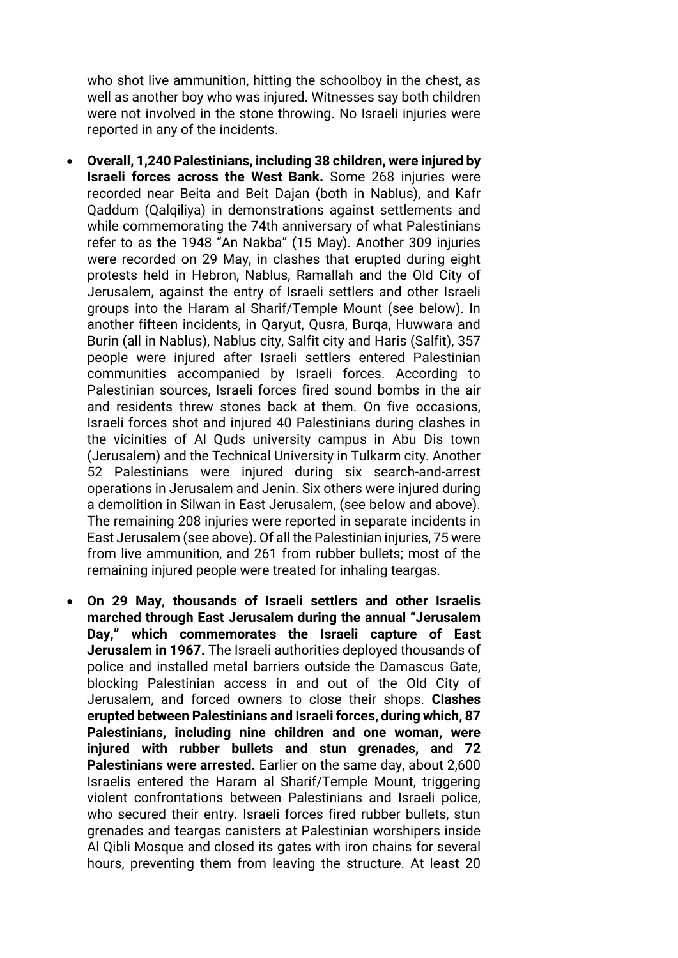who shot live ammunition, hitting the schoolboy in the chest, as well as another boy who was injured. Witnesses say both children were not involved in the stone throwing. No Israeli injuries were reported in any of the incidents.

- **Overall, 1,240 Palestinians, including 38 children, were injured by Israeli forces across the West Bank.** Some 268 injuries were recorded near Beita and Beit Dajan (both in Nablus), and Kafr Qaddum (Qalqiliya) in demonstrations against settlements and while commemorating the 74th anniversary of what Palestinians refer to as the 1948 "An Nakba" (15 May). Another 309 injuries were recorded on 29 May, in clashes that erupted during eight protests held in Hebron, Nablus, Ramallah and the Old City of Jerusalem, against the entry of Israeli settlers and other Israeli groups into the Haram al Sharif/Temple Mount (see below). In another fifteen incidents, in Qaryut, Qusra, Burqa, Huwwara and Burin (all in Nablus), Nablus city, Salfit city and Haris (Salfit), 357 people were injured after Israeli settlers entered Palestinian communities accompanied by Israeli forces. According to Palestinian sources, Israeli forces fired sound bombs in the air and residents threw stones back at them. On five occasions, Israeli forces shot and injured 40 Palestinians during clashes in the vicinities of Al Quds university campus in Abu Dis town (Jerusalem) and the Technical University in Tulkarm city. Another 52 Palestinians were injured during six search-and-arrest operations in Jerusalem and Jenin. Six others were injured during a demolition in Silwan in East Jerusalem, (see below and above). The remaining 208 injuries were reported in separate incidents in East Jerusalem (see above). Of all the Palestinian injuries, 75 were from live ammunition, and 261 from rubber bullets; most of the remaining injured people were treated for inhaling teargas.
- **On 29 May, thousands of Israeli settlers and other Israelis marched through East Jerusalem during the annual "Jerusalem Day," which commemorates the Israeli capture of East Jerusalem in 1967.** The Israeli authorities deployed thousands of police and installed metal barriers outside the Damascus Gate, blocking Palestinian access in and out of the Old City of Jerusalem, and forced owners to close their shops. **Clashes erupted between Palestinians and Israeli forces, during which, 87 Palestinians, including nine children and one woman, were injured with rubber bullets and stun grenades, and 72 Palestinians were arrested.** Earlier on the same day, about 2,600 Israelis entered the Haram al Sharif/Temple Mount, triggering violent confrontations between Palestinians and Israeli police, who secured their entry. Israeli forces fired rubber bullets, stun grenades and teargas canisters at Palestinian worshipers inside Al Qibli Mosque and closed its gates with iron chains for several hours, preventing them from leaving the structure. At least 20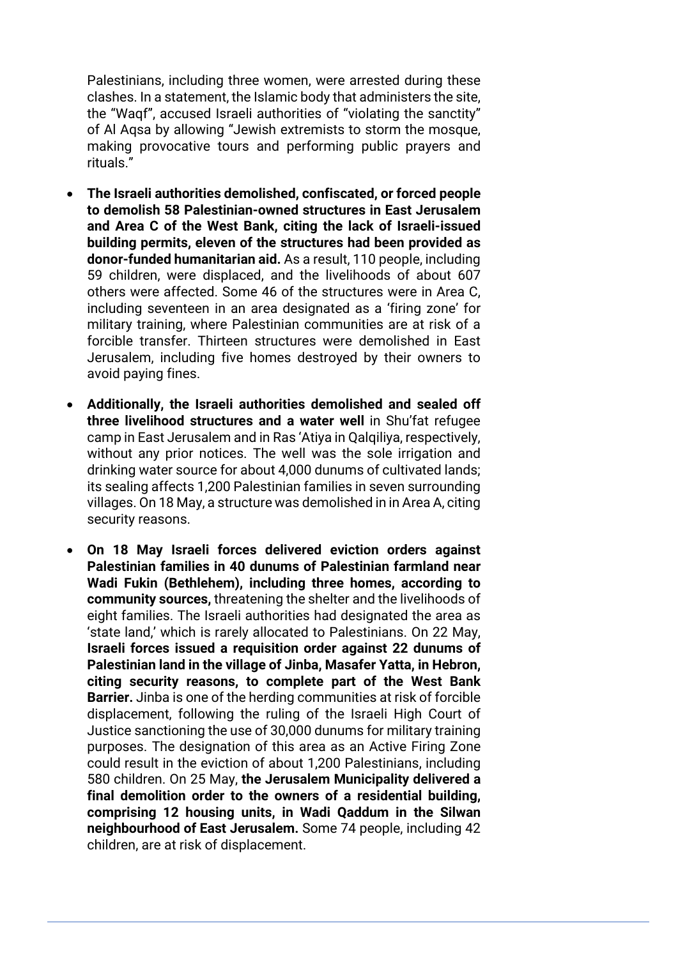Palestinians, including three women, were arrested during these clashes. In a statement, the Islamic body that administers the site, the "Waqf", accused Israeli authorities of "violating the sanctity" of Al Aqsa by allowing "Jewish extremists to storm the mosque, making provocative tours and performing public prayers and rituals."

- **The Israeli authorities demolished, confiscated, or forced people to demolish 58 Palestinian-owned structures in East Jerusalem and Area C of the West Bank, citing the lack of Israeli-issued building permits, eleven of the structures had been provided as donor-funded humanitarian aid.** As a result, 110 people, including 59 children, were displaced, and the livelihoods of about 607 others were affected. Some 46 of the structures were in Area C, including seventeen in an area designated as a 'firing zone' for military training, where Palestinian communities are at risk of a forcible transfer. Thirteen structures were demolished in East Jerusalem, including five homes destroyed by their owners to avoid paying fines.
- **Additionally, the Israeli authorities demolished and sealed off three livelihood structures and a water well** in Shu'fat refugee camp in East Jerusalem and in Ras 'Atiya in Qalqiliya, respectively, without any prior notices. The well was the sole irrigation and drinking water source for about 4,000 dunums of cultivated lands; its sealing affects 1,200 Palestinian families in seven surrounding villages. On 18 May, a structure was demolished in in Area A, citing security reasons.
- **On 18 May Israeli forces delivered eviction orders against Palestinian families in 40 dunums of Palestinian farmland near Wadi Fukin (Bethlehem), including three homes, according to community sources,** threatening the shelter and the livelihoods of eight families. The Israeli authorities had designated the area as 'state land,' which is rarely allocated to Palestinians. On 22 May, **Israeli forces issued a requisition order against 22 dunums of Palestinian land in the village of Jinba, Masafer Yatta, in Hebron, citing security reasons, to complete part of the West Bank Barrier.** Jinba is one of the herding communities at risk of forcible displacement, following the ruling of the Israeli High Court of Justice sanctioning the use of 30,000 dunums for military training purposes. The designation of this area as an Active Firing Zone could result in the eviction of about 1,200 Palestinians, including 580 children. On 25 May, **the Jerusalem Municipality delivered a final demolition order to the owners of a residential building, comprising 12 housing units, in Wadi Qaddum in the Silwan neighbourhood of East Jerusalem.** Some 74 people, including 42 children, are at risk of displacement.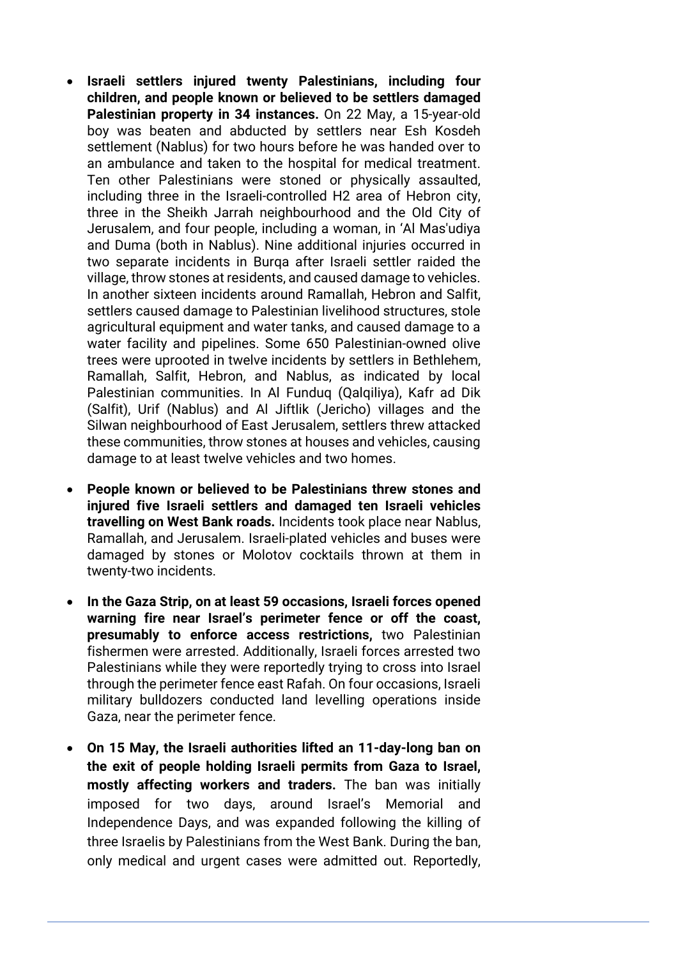- **Israeli settlers injured twenty Palestinians, including four children, and people known or believed to be settlers damaged Palestinian property in 34 instances.** On 22 May, a 15-year-old boy was beaten and abducted by settlers near Esh Kosdeh settlement (Nablus) for two hours before he was handed over to an ambulance and taken to the hospital for medical treatment. Ten other Palestinians were stoned or physically assaulted, including three in the Israeli-controlled H2 area of Hebron city, three in the Sheikh Jarrah neighbourhood and the Old City of Jerusalem, and four people, including a woman, in 'Al Mas'udiya and Duma (both in Nablus). Nine additional injuries occurred in two separate incidents in Burqa after Israeli settler raided the village, throw stones at residents, and caused damage to vehicles. In another sixteen incidents around Ramallah, Hebron and Salfit, settlers caused damage to Palestinian livelihood structures, stole agricultural equipment and water tanks, and caused damage to a water facility and pipelines. Some 650 Palestinian-owned olive trees were uprooted in twelve incidents by settlers in Bethlehem, Ramallah, Salfit, Hebron, and Nablus, as indicated by local Palestinian communities. In Al Funduq (Qalqiliya), Kafr ad Dik (Salfit), Urif (Nablus) and Al Jiftlik (Jericho) villages and the Silwan neighbourhood of East Jerusalem, settlers threw attacked these communities, throw stones at houses and vehicles, causing damage to at least twelve vehicles and two homes.
- **People known or believed to be Palestinians threw stones and injured five Israeli settlers and damaged ten Israeli vehicles travelling on West Bank roads.** Incidents took place near Nablus, Ramallah, and Jerusalem. Israeli-plated vehicles and buses were damaged by stones or Molotov cocktails thrown at them in twenty-two incidents.
- **In the Gaza Strip, on at least 59 occasions, Israeli forces opened warning fire near Israel's perimeter fence or off the coast, presumably to enforce access restrictions,** two Palestinian fishermen were arrested. Additionally, Israeli forces arrested two Palestinians while they were reportedly trying to cross into Israel through the perimeter fence east Rafah. On four occasions, Israeli military bulldozers conducted land levelling operations inside Gaza, near the perimeter fence.
- **On 15 May, the Israeli authorities lifted an 11-day-long ban on the exit of people holding Israeli permits from Gaza to Israel, mostly affecting workers and traders.** The ban was initially imposed for two days, around Israel's Memorial and Independence Days, and was expanded following the killing of three Israelis by Palestinians from the West Bank. During the ban, only medical and urgent cases were admitted out. Reportedly,